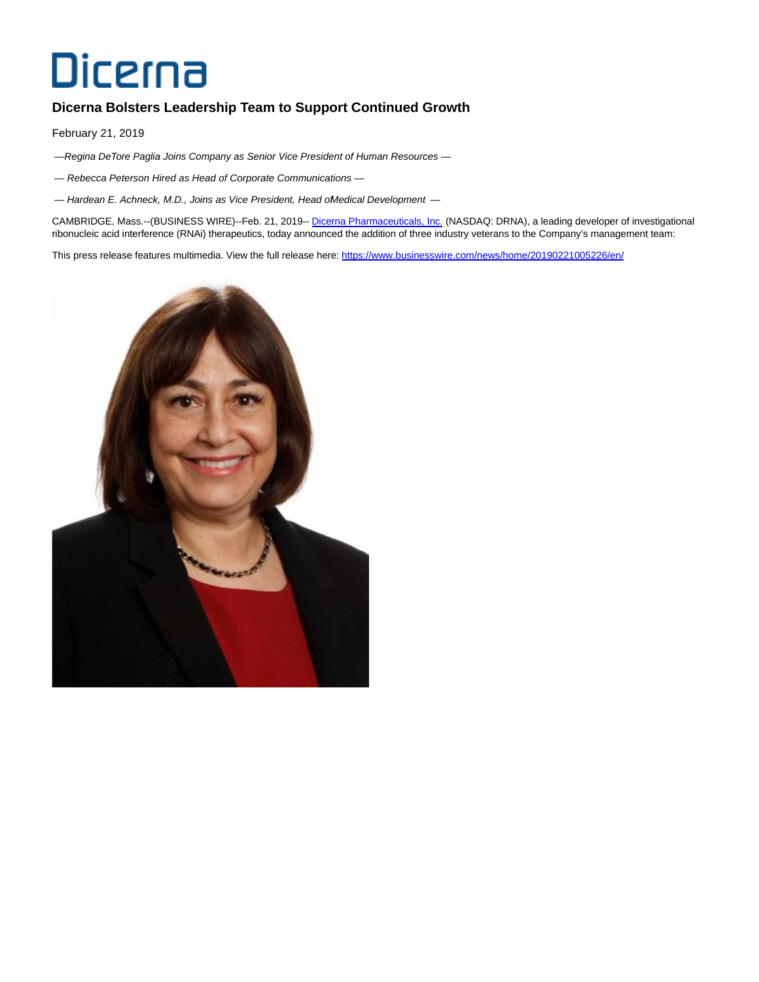## **Dicerna**

## **Dicerna Bolsters Leadership Team to Support Continued Growth**

February 21, 2019

— Regina DeTore Paglia Joins Company as Senior Vice President of Human Resources —

— Rebecca Peterson Hired as Head of Corporate Communications —

— Hardean E. Achneck, M.D., Joins as Vice President, Head of Medical Development —

CAMBRIDGE, Mass.--(BUSINESS WIRE)--Feb. 21, 2019-- [Dicerna Pharmaceuticals, Inc. \(](https://cts.businesswire.com/ct/CT?id=smartlink&url=http%3A%2F%2Fdicerna.com%2F&esheet=51943905&newsitemid=20190221005226&lan=en-US&anchor=Dicerna+Pharmaceuticals%2C+Inc.&index=1&md5=ec01b3a7c83d8e6acf89873c80dfa493)NASDAQ: DRNA), a leading developer of investigational ribonucleic acid interference (RNAi) therapeutics, today announced the addition of three industry veterans to the Company's management team:

This press release features multimedia. View the full release here:<https://www.businesswire.com/news/home/20190221005226/en/>

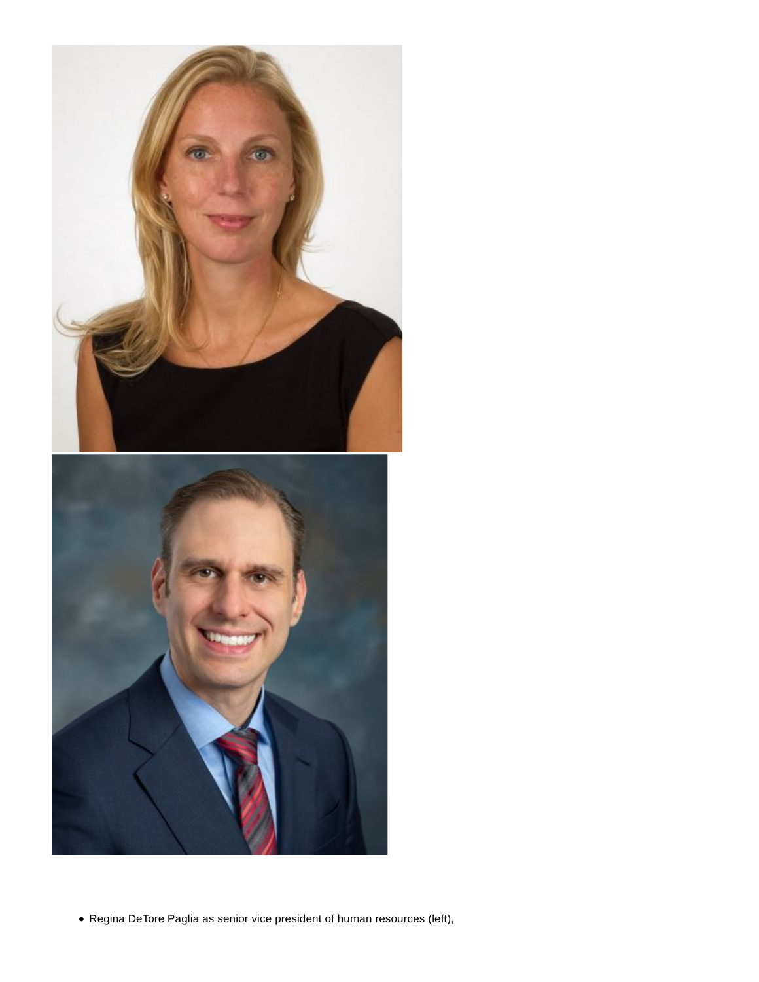

Regina DeTore Paglia as senior vice president of human resources (left),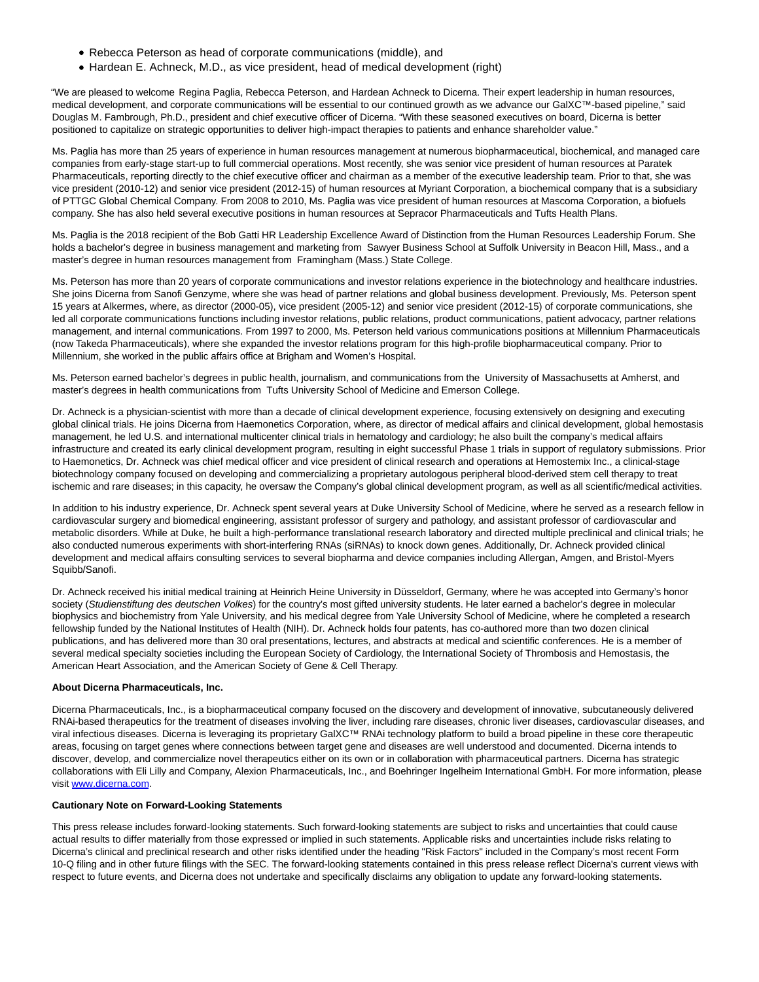- Rebecca Peterson as head of corporate communications (middle), and
- Hardean E. Achneck, M.D., as vice president, head of medical development (right)

"We are pleased to welcome Regina Paglia, Rebecca Peterson, and Hardean Achneck to Dicerna. Their expert leadership in human resources, medical development, and corporate communications will be essential to our continued growth as we advance our GalXC™-based pipeline," said Douglas M. Fambrough, Ph.D., president and chief executive officer of Dicerna. "With these seasoned executives on board, Dicerna is better positioned to capitalize on strategic opportunities to deliver high-impact therapies to patients and enhance shareholder value."

Ms. Paglia has more than 25 years of experience in human resources management at numerous biopharmaceutical, biochemical, and managed care companies from early-stage start-up to full commercial operations. Most recently, she was senior vice president of human resources at Paratek Pharmaceuticals, reporting directly to the chief executive officer and chairman as a member of the executive leadership team. Prior to that, she was vice president (2010-12) and senior vice president (2012-15) of human resources at Myriant Corporation, a biochemical company that is a subsidiary of PTTGC Global Chemical Company. From 2008 to 2010, Ms. Paglia was vice president of human resources at Mascoma Corporation, a biofuels company. She has also held several executive positions in human resources at Sepracor Pharmaceuticals and Tufts Health Plans.

Ms. Paglia is the 2018 recipient of the Bob Gatti HR Leadership Excellence Award of Distinction from the Human Resources Leadership Forum. She holds a bachelor's degree in business management and marketing from Sawyer Business School at Suffolk University in Beacon Hill, Mass., and a master's degree in human resources management from Framingham (Mass.) State College.

Ms. Peterson has more than 20 years of corporate communications and investor relations experience in the biotechnology and healthcare industries. She joins Dicerna from Sanofi Genzyme, where she was head of partner relations and global business development. Previously, Ms. Peterson spent 15 years at Alkermes, where, as director (2000-05), vice president (2005-12) and senior vice president (2012-15) of corporate communications, she led all corporate communications functions including investor relations, public relations, product communications, patient advocacy, partner relations management, and internal communications. From 1997 to 2000, Ms. Peterson held various communications positions at Millennium Pharmaceuticals (now Takeda Pharmaceuticals), where she expanded the investor relations program for this high-profile biopharmaceutical company. Prior to Millennium, she worked in the public affairs office at Brigham and Women's Hospital.

Ms. Peterson earned bachelor's degrees in public health, journalism, and communications from the University of Massachusetts at Amherst, and master's degrees in health communications from Tufts University School of Medicine and Emerson College.

Dr. Achneck is a physician-scientist with more than a decade of clinical development experience, focusing extensively on designing and executing global clinical trials. He joins Dicerna from Haemonetics Corporation, where, as director of medical affairs and clinical development, global hemostasis management, he led U.S. and international multicenter clinical trials in hematology and cardiology; he also built the company's medical affairs infrastructure and created its early clinical development program, resulting in eight successful Phase 1 trials in support of regulatory submissions. Prior to Haemonetics, Dr. Achneck was chief medical officer and vice president of clinical research and operations at Hemostemix Inc., a clinical-stage biotechnology company focused on developing and commercializing a proprietary autologous peripheral blood-derived stem cell therapy to treat ischemic and rare diseases; in this capacity, he oversaw the Company's global clinical development program, as well as all scientific/medical activities.

In addition to his industry experience, Dr. Achneck spent several years at Duke University School of Medicine, where he served as a research fellow in cardiovascular surgery and biomedical engineering, assistant professor of surgery and pathology, and assistant professor of cardiovascular and metabolic disorders. While at Duke, he built a high-performance translational research laboratory and directed multiple preclinical and clinical trials; he also conducted numerous experiments with short-interfering RNAs (siRNAs) to knock down genes. Additionally, Dr. Achneck provided clinical development and medical affairs consulting services to several biopharma and device companies including Allergan, Amgen, and Bristol-Myers Squibb/Sanofi.

Dr. Achneck received his initial medical training at Heinrich Heine University in Düsseldorf, Germany, where he was accepted into Germany's honor society (Studienstiftung des deutschen Volkes) for the country's most gifted university students. He later earned a bachelor's degree in molecular biophysics and biochemistry from Yale University, and his medical degree from Yale University School of Medicine, where he completed a research fellowship funded by the National Institutes of Health (NIH). Dr. Achneck holds four patents, has co-authored more than two dozen clinical publications, and has delivered more than 30 oral presentations, lectures, and abstracts at medical and scientific conferences. He is a member of several medical specialty societies including the European Society of Cardiology, the International Society of Thrombosis and Hemostasis, the American Heart Association, and the American Society of Gene & Cell Therapy.

## **About Dicerna Pharmaceuticals, Inc.**

Dicerna Pharmaceuticals, Inc., is a biopharmaceutical company focused on the discovery and development of innovative, subcutaneously delivered RNAi-based therapeutics for the treatment of diseases involving the liver, including rare diseases, chronic liver diseases, cardiovascular diseases, and viral infectious diseases. Dicerna is leveraging its proprietary GalXC™ RNAi technology platform to build a broad pipeline in these core therapeutic areas, focusing on target genes where connections between target gene and diseases are well understood and documented. Dicerna intends to discover, develop, and commercialize novel therapeutics either on its own or in collaboration with pharmaceutical partners. Dicerna has strategic collaborations with Eli Lilly and Company, Alexion Pharmaceuticals, Inc., and Boehringer Ingelheim International GmbH. For more information, please visit [www.dicerna.com.](https://cts.businesswire.com/ct/CT?id=smartlink&url=http%3A%2F%2Fwww.dicerna.com&esheet=51943905&newsitemid=20190221005226&lan=en-US&anchor=www.dicerna.com&index=2&md5=c2b9520388446e542290cf20c9c862ed)

## **Cautionary Note on Forward-Looking Statements**

This press release includes forward-looking statements. Such forward-looking statements are subject to risks and uncertainties that could cause actual results to differ materially from those expressed or implied in such statements. Applicable risks and uncertainties include risks relating to Dicerna's clinical and preclinical research and other risks identified under the heading "Risk Factors" included in the Company's most recent Form 10-Q filing and in other future filings with the SEC. The forward-looking statements contained in this press release reflect Dicerna's current views with respect to future events, and Dicerna does not undertake and specifically disclaims any obligation to update any forward-looking statements.